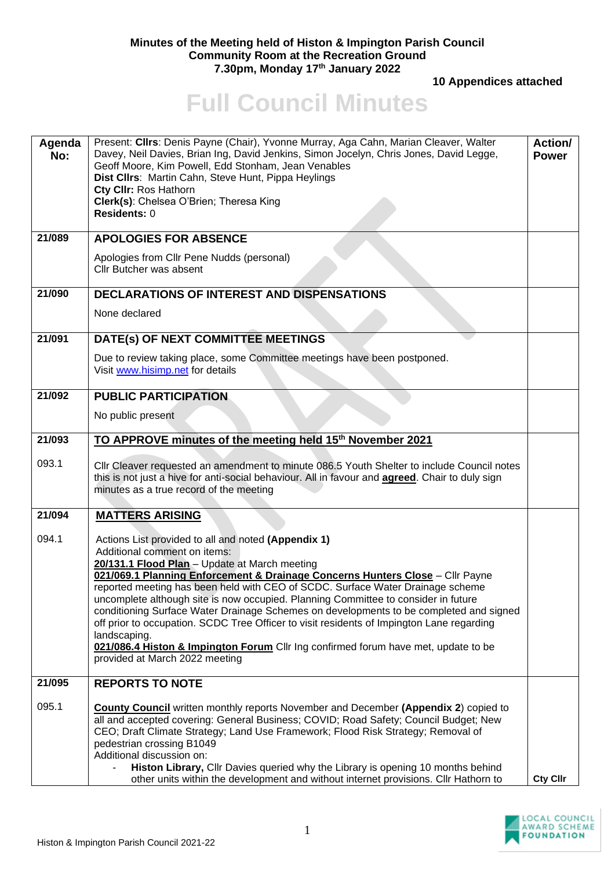## **Minutes of the Meeting held of Histon & Impington Parish Council Community Room at the Recreation Ground 7.30pm, Monday 17th January 2022**

 **10 Appendices attached** 

## **Full Council Minutes**

| Agenda<br>No: | Present: Cllrs: Denis Payne (Chair), Yvonne Murray, Aga Cahn, Marian Cleaver, Walter<br>Davey, Neil Davies, Brian Ing, David Jenkins, Simon Jocelyn, Chris Jones, David Legge,<br>Geoff Moore, Kim Powell, Edd Stonham, Jean Venables<br>Dist Cllrs: Martin Cahn, Steve Hunt, Pippa Heylings<br>Cty CIIr: Ros Hathorn<br>Clerk(s): Chelsea O'Brien; Theresa King<br>Residents: 0                                                                                                                                                                                                                                                                                                                                             | <b>Action/</b><br><b>Power</b> |
|---------------|------------------------------------------------------------------------------------------------------------------------------------------------------------------------------------------------------------------------------------------------------------------------------------------------------------------------------------------------------------------------------------------------------------------------------------------------------------------------------------------------------------------------------------------------------------------------------------------------------------------------------------------------------------------------------------------------------------------------------|--------------------------------|
| 21/089        | <b>APOLOGIES FOR ABSENCE</b>                                                                                                                                                                                                                                                                                                                                                                                                                                                                                                                                                                                                                                                                                                 |                                |
|               | Apologies from Cllr Pene Nudds (personal)<br>Cllr Butcher was absent                                                                                                                                                                                                                                                                                                                                                                                                                                                                                                                                                                                                                                                         |                                |
| 21/090        | <b>DECLARATIONS OF INTEREST AND DISPENSATIONS</b>                                                                                                                                                                                                                                                                                                                                                                                                                                                                                                                                                                                                                                                                            |                                |
|               | None declared                                                                                                                                                                                                                                                                                                                                                                                                                                                                                                                                                                                                                                                                                                                |                                |
| 21/091        | DATE(s) OF NEXT COMMITTEE MEETINGS                                                                                                                                                                                                                                                                                                                                                                                                                                                                                                                                                                                                                                                                                           |                                |
|               | Due to review taking place, some Committee meetings have been postponed.<br>Visit www.hisimp.net for details                                                                                                                                                                                                                                                                                                                                                                                                                                                                                                                                                                                                                 |                                |
| 21/092        | <b>PUBLIC PARTICIPATION</b>                                                                                                                                                                                                                                                                                                                                                                                                                                                                                                                                                                                                                                                                                                  |                                |
|               | No public present                                                                                                                                                                                                                                                                                                                                                                                                                                                                                                                                                                                                                                                                                                            |                                |
| 21/093        | TO APPROVE minutes of the meeting held 15 <sup>th</sup> November 2021                                                                                                                                                                                                                                                                                                                                                                                                                                                                                                                                                                                                                                                        |                                |
| 093.1         | Cllr Cleaver requested an amendment to minute 086.5 Youth Shelter to include Council notes<br>this is not just a hive for anti-social behaviour. All in favour and <b>agreed</b> . Chair to duly sign<br>minutes as a true record of the meeting                                                                                                                                                                                                                                                                                                                                                                                                                                                                             |                                |
| 21/094        | <b>MATTERS ARISING</b>                                                                                                                                                                                                                                                                                                                                                                                                                                                                                                                                                                                                                                                                                                       |                                |
| 094.1         | Actions List provided to all and noted (Appendix 1)<br>Additional comment on items:<br>20/131.1 Flood Plan - Update at March meeting<br>021/069.1 Planning Enforcement & Drainage Concerns Hunters Close - Cllr Payne<br>reported meeting has been held with CEO of SCDC. Surface Water Drainage scheme<br>uncomplete although site is now occupied. Planning Committee to consider in future<br>conditioning Surface Water Drainage Schemes on developments to be completed and signed<br>off prior to occupation. SCDC Tree Officer to visit residents of Impington Lane regarding<br>landscaping.<br>021/086.4 Histon & Impington Forum Cllr Ing confirmed forum have met, update to be<br>provided at March 2022 meeting |                                |
| 21/095        | <b>REPORTS TO NOTE</b>                                                                                                                                                                                                                                                                                                                                                                                                                                                                                                                                                                                                                                                                                                       |                                |
| 095.1         | <b>County Council</b> written monthly reports November and December (Appendix 2) copied to<br>all and accepted covering: General Business; COVID; Road Safety; Council Budget; New<br>CEO; Draft Climate Strategy; Land Use Framework; Flood Risk Strategy; Removal of<br>pedestrian crossing B1049<br>Additional discussion on:<br>Histon Library, Cllr Davies queried why the Library is opening 10 months behind<br>other units within the development and without internet provisions. Cllr Hathorn to                                                                                                                                                                                                                   | <b>Cty Cllr</b>                |

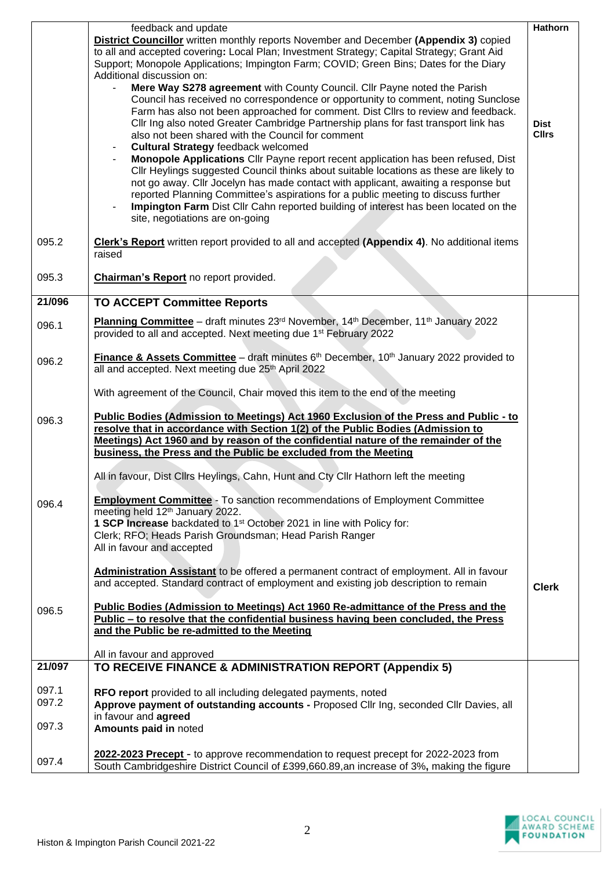| District Councillor written monthly reports November and December (Appendix 3) copied<br>to all and accepted covering: Local Plan; Investment Strategy; Capital Strategy; Grant Aid<br>Support; Monopole Applications; Impington Farm; COVID; Green Bins; Dates for the Diary<br>Additional discussion on:<br>Mere Way S278 agreement with County Council. Cllr Payne noted the Parish<br>Council has received no correspondence or opportunity to comment, noting Sunclose<br>Farm has also not been approached for comment. Dist Cllrs to review and feedback.<br>Cllr Ing also noted Greater Cambridge Partnership plans for fast transport link has<br><b>Dist</b><br>also not been shared with the Council for comment<br><b>Cllrs</b><br><b>Cultural Strategy feedback welcomed</b><br>$\blacksquare$<br>Monopole Applications Cllr Payne report recent application has been refused, Dist<br>CIIr Heylings suggested Council thinks about suitable locations as these are likely to<br>not go away. Cllr Jocelyn has made contact with applicant, awaiting a response but<br>reported Planning Committee's aspirations for a public meeting to discuss further<br>Impington Farm Dist Cllr Cahn reported building of interest has been located on the<br>site, negotiations are on-going<br>095.2<br>Clerk's Report written report provided to all and accepted (Appendix 4). No additional items<br>raised<br>095.3<br>Chairman's Report no report provided.<br>21/096<br><b>TO ACCEPT Committee Reports</b><br>Planning Committee - draft minutes 23 <sup>rd</sup> November, 14 <sup>th</sup> December, 11 <sup>th</sup> January 2022<br>096.1<br>provided to all and accepted. Next meeting due 1 <sup>st</sup> February 2022<br>Finance & Assets Committee - draft minutes 6th December, 10th January 2022 provided to<br>096.2<br>all and accepted. Next meeting due 25th April 2022<br>With agreement of the Council, Chair moved this item to the end of the meeting<br>Public Bodies (Admission to Meetings) Act 1960 Exclusion of the Press and Public - to<br>096.3<br>resolve that in accordance with Section 1(2) of the Public Bodies (Admission to<br>Meetings) Act 1960 and by reason of the confidential nature of the remainder of the<br>business, the Press and the Public be excluded from the Meeting<br>All in favour, Dist Cllrs Heylings, Cahn, Hunt and Cty Cllr Hathorn left the meeting<br><b>Employment Committee</b> - To sanction recommendations of Employment Committee<br>096.4<br>meeting held 12th January 2022.<br>1 SCP Increase backdated to 1 <sup>st</sup> October 2021 in line with Policy for:<br>Clerk; RFO; Heads Parish Groundsman; Head Parish Ranger<br>All in favour and accepted<br>Administration Assistant to be offered a permanent contract of employment. All in favour<br>and accepted. Standard contract of employment and existing job description to remain<br><b>Clerk</b><br>Public Bodies (Admission to Meetings) Act 1960 Re-admittance of the Press and the<br>096.5<br>Public - to resolve that the confidential business having been concluded, the Press<br>and the Public be re-admitted to the Meeting<br>All in favour and approved<br>TO RECEIVE FINANCE & ADMINISTRATION REPORT (Appendix 5)<br>21/097<br>097.1<br>RFO report provided to all including delegated payments, noted<br>097.2<br>Approve payment of outstanding accounts - Proposed Cllr Ing, seconded Cllr Davies, all<br>in favour and agreed<br>097.3<br>Amounts paid in noted<br>2022-2023 Precept - to approve recommendation to request precept for 2022-2023 from<br>097.4<br>South Cambridgeshire District Council of £399,660.89, an increase of 3%, making the figure | feedback and update | Hathorn |
|----------------------------------------------------------------------------------------------------------------------------------------------------------------------------------------------------------------------------------------------------------------------------------------------------------------------------------------------------------------------------------------------------------------------------------------------------------------------------------------------------------------------------------------------------------------------------------------------------------------------------------------------------------------------------------------------------------------------------------------------------------------------------------------------------------------------------------------------------------------------------------------------------------------------------------------------------------------------------------------------------------------------------------------------------------------------------------------------------------------------------------------------------------------------------------------------------------------------------------------------------------------------------------------------------------------------------------------------------------------------------------------------------------------------------------------------------------------------------------------------------------------------------------------------------------------------------------------------------------------------------------------------------------------------------------------------------------------------------------------------------------------------------------------------------------------------------------------------------------------------------------------------------------------------------------------------------------------------------------------------------------------------------------------------------------------------------------------------------------------------------------------------------------------------------------------------------------------------------------------------------------------------------------------------------------------------------------------------------------------------------------------------------------------------------------------------------------------------------------------------------------------------------------------------------------------------------------------------------------------------------------------------------------------------------------------------------------------------------------------------------------------------------------------------------------------------------------------------------------------------------------------------------------------------------------------------------------------------------------------------------------------------------------------------------------------------------------------------------------------------------------------------------------------------------------------------------------------------------------------------------------------------------------------------------------------------------------------------------------------------------------------------------------------------------------------------------------------------------------------------------------------------------------------------------------------------------------------------------------------------------------------------------------------------------------------------------------------------------|---------------------|---------|
|                                                                                                                                                                                                                                                                                                                                                                                                                                                                                                                                                                                                                                                                                                                                                                                                                                                                                                                                                                                                                                                                                                                                                                                                                                                                                                                                                                                                                                                                                                                                                                                                                                                                                                                                                                                                                                                                                                                                                                                                                                                                                                                                                                                                                                                                                                                                                                                                                                                                                                                                                                                                                                                                                                                                                                                                                                                                                                                                                                                                                                                                                                                                                                                                                                                                                                                                                                                                                                                                                                                                                                                                                                                                                                                            |                     |         |
|                                                                                                                                                                                                                                                                                                                                                                                                                                                                                                                                                                                                                                                                                                                                                                                                                                                                                                                                                                                                                                                                                                                                                                                                                                                                                                                                                                                                                                                                                                                                                                                                                                                                                                                                                                                                                                                                                                                                                                                                                                                                                                                                                                                                                                                                                                                                                                                                                                                                                                                                                                                                                                                                                                                                                                                                                                                                                                                                                                                                                                                                                                                                                                                                                                                                                                                                                                                                                                                                                                                                                                                                                                                                                                                            |                     |         |
|                                                                                                                                                                                                                                                                                                                                                                                                                                                                                                                                                                                                                                                                                                                                                                                                                                                                                                                                                                                                                                                                                                                                                                                                                                                                                                                                                                                                                                                                                                                                                                                                                                                                                                                                                                                                                                                                                                                                                                                                                                                                                                                                                                                                                                                                                                                                                                                                                                                                                                                                                                                                                                                                                                                                                                                                                                                                                                                                                                                                                                                                                                                                                                                                                                                                                                                                                                                                                                                                                                                                                                                                                                                                                                                            |                     |         |
|                                                                                                                                                                                                                                                                                                                                                                                                                                                                                                                                                                                                                                                                                                                                                                                                                                                                                                                                                                                                                                                                                                                                                                                                                                                                                                                                                                                                                                                                                                                                                                                                                                                                                                                                                                                                                                                                                                                                                                                                                                                                                                                                                                                                                                                                                                                                                                                                                                                                                                                                                                                                                                                                                                                                                                                                                                                                                                                                                                                                                                                                                                                                                                                                                                                                                                                                                                                                                                                                                                                                                                                                                                                                                                                            |                     |         |
|                                                                                                                                                                                                                                                                                                                                                                                                                                                                                                                                                                                                                                                                                                                                                                                                                                                                                                                                                                                                                                                                                                                                                                                                                                                                                                                                                                                                                                                                                                                                                                                                                                                                                                                                                                                                                                                                                                                                                                                                                                                                                                                                                                                                                                                                                                                                                                                                                                                                                                                                                                                                                                                                                                                                                                                                                                                                                                                                                                                                                                                                                                                                                                                                                                                                                                                                                                                                                                                                                                                                                                                                                                                                                                                            |                     |         |
|                                                                                                                                                                                                                                                                                                                                                                                                                                                                                                                                                                                                                                                                                                                                                                                                                                                                                                                                                                                                                                                                                                                                                                                                                                                                                                                                                                                                                                                                                                                                                                                                                                                                                                                                                                                                                                                                                                                                                                                                                                                                                                                                                                                                                                                                                                                                                                                                                                                                                                                                                                                                                                                                                                                                                                                                                                                                                                                                                                                                                                                                                                                                                                                                                                                                                                                                                                                                                                                                                                                                                                                                                                                                                                                            |                     |         |
|                                                                                                                                                                                                                                                                                                                                                                                                                                                                                                                                                                                                                                                                                                                                                                                                                                                                                                                                                                                                                                                                                                                                                                                                                                                                                                                                                                                                                                                                                                                                                                                                                                                                                                                                                                                                                                                                                                                                                                                                                                                                                                                                                                                                                                                                                                                                                                                                                                                                                                                                                                                                                                                                                                                                                                                                                                                                                                                                                                                                                                                                                                                                                                                                                                                                                                                                                                                                                                                                                                                                                                                                                                                                                                                            |                     |         |
|                                                                                                                                                                                                                                                                                                                                                                                                                                                                                                                                                                                                                                                                                                                                                                                                                                                                                                                                                                                                                                                                                                                                                                                                                                                                                                                                                                                                                                                                                                                                                                                                                                                                                                                                                                                                                                                                                                                                                                                                                                                                                                                                                                                                                                                                                                                                                                                                                                                                                                                                                                                                                                                                                                                                                                                                                                                                                                                                                                                                                                                                                                                                                                                                                                                                                                                                                                                                                                                                                                                                                                                                                                                                                                                            |                     |         |
|                                                                                                                                                                                                                                                                                                                                                                                                                                                                                                                                                                                                                                                                                                                                                                                                                                                                                                                                                                                                                                                                                                                                                                                                                                                                                                                                                                                                                                                                                                                                                                                                                                                                                                                                                                                                                                                                                                                                                                                                                                                                                                                                                                                                                                                                                                                                                                                                                                                                                                                                                                                                                                                                                                                                                                                                                                                                                                                                                                                                                                                                                                                                                                                                                                                                                                                                                                                                                                                                                                                                                                                                                                                                                                                            |                     |         |
|                                                                                                                                                                                                                                                                                                                                                                                                                                                                                                                                                                                                                                                                                                                                                                                                                                                                                                                                                                                                                                                                                                                                                                                                                                                                                                                                                                                                                                                                                                                                                                                                                                                                                                                                                                                                                                                                                                                                                                                                                                                                                                                                                                                                                                                                                                                                                                                                                                                                                                                                                                                                                                                                                                                                                                                                                                                                                                                                                                                                                                                                                                                                                                                                                                                                                                                                                                                                                                                                                                                                                                                                                                                                                                                            |                     |         |
|                                                                                                                                                                                                                                                                                                                                                                                                                                                                                                                                                                                                                                                                                                                                                                                                                                                                                                                                                                                                                                                                                                                                                                                                                                                                                                                                                                                                                                                                                                                                                                                                                                                                                                                                                                                                                                                                                                                                                                                                                                                                                                                                                                                                                                                                                                                                                                                                                                                                                                                                                                                                                                                                                                                                                                                                                                                                                                                                                                                                                                                                                                                                                                                                                                                                                                                                                                                                                                                                                                                                                                                                                                                                                                                            |                     |         |
|                                                                                                                                                                                                                                                                                                                                                                                                                                                                                                                                                                                                                                                                                                                                                                                                                                                                                                                                                                                                                                                                                                                                                                                                                                                                                                                                                                                                                                                                                                                                                                                                                                                                                                                                                                                                                                                                                                                                                                                                                                                                                                                                                                                                                                                                                                                                                                                                                                                                                                                                                                                                                                                                                                                                                                                                                                                                                                                                                                                                                                                                                                                                                                                                                                                                                                                                                                                                                                                                                                                                                                                                                                                                                                                            |                     |         |
|                                                                                                                                                                                                                                                                                                                                                                                                                                                                                                                                                                                                                                                                                                                                                                                                                                                                                                                                                                                                                                                                                                                                                                                                                                                                                                                                                                                                                                                                                                                                                                                                                                                                                                                                                                                                                                                                                                                                                                                                                                                                                                                                                                                                                                                                                                                                                                                                                                                                                                                                                                                                                                                                                                                                                                                                                                                                                                                                                                                                                                                                                                                                                                                                                                                                                                                                                                                                                                                                                                                                                                                                                                                                                                                            |                     |         |
|                                                                                                                                                                                                                                                                                                                                                                                                                                                                                                                                                                                                                                                                                                                                                                                                                                                                                                                                                                                                                                                                                                                                                                                                                                                                                                                                                                                                                                                                                                                                                                                                                                                                                                                                                                                                                                                                                                                                                                                                                                                                                                                                                                                                                                                                                                                                                                                                                                                                                                                                                                                                                                                                                                                                                                                                                                                                                                                                                                                                                                                                                                                                                                                                                                                                                                                                                                                                                                                                                                                                                                                                                                                                                                                            |                     |         |
|                                                                                                                                                                                                                                                                                                                                                                                                                                                                                                                                                                                                                                                                                                                                                                                                                                                                                                                                                                                                                                                                                                                                                                                                                                                                                                                                                                                                                                                                                                                                                                                                                                                                                                                                                                                                                                                                                                                                                                                                                                                                                                                                                                                                                                                                                                                                                                                                                                                                                                                                                                                                                                                                                                                                                                                                                                                                                                                                                                                                                                                                                                                                                                                                                                                                                                                                                                                                                                                                                                                                                                                                                                                                                                                            |                     |         |
|                                                                                                                                                                                                                                                                                                                                                                                                                                                                                                                                                                                                                                                                                                                                                                                                                                                                                                                                                                                                                                                                                                                                                                                                                                                                                                                                                                                                                                                                                                                                                                                                                                                                                                                                                                                                                                                                                                                                                                                                                                                                                                                                                                                                                                                                                                                                                                                                                                                                                                                                                                                                                                                                                                                                                                                                                                                                                                                                                                                                                                                                                                                                                                                                                                                                                                                                                                                                                                                                                                                                                                                                                                                                                                                            |                     |         |
|                                                                                                                                                                                                                                                                                                                                                                                                                                                                                                                                                                                                                                                                                                                                                                                                                                                                                                                                                                                                                                                                                                                                                                                                                                                                                                                                                                                                                                                                                                                                                                                                                                                                                                                                                                                                                                                                                                                                                                                                                                                                                                                                                                                                                                                                                                                                                                                                                                                                                                                                                                                                                                                                                                                                                                                                                                                                                                                                                                                                                                                                                                                                                                                                                                                                                                                                                                                                                                                                                                                                                                                                                                                                                                                            |                     |         |
|                                                                                                                                                                                                                                                                                                                                                                                                                                                                                                                                                                                                                                                                                                                                                                                                                                                                                                                                                                                                                                                                                                                                                                                                                                                                                                                                                                                                                                                                                                                                                                                                                                                                                                                                                                                                                                                                                                                                                                                                                                                                                                                                                                                                                                                                                                                                                                                                                                                                                                                                                                                                                                                                                                                                                                                                                                                                                                                                                                                                                                                                                                                                                                                                                                                                                                                                                                                                                                                                                                                                                                                                                                                                                                                            |                     |         |
|                                                                                                                                                                                                                                                                                                                                                                                                                                                                                                                                                                                                                                                                                                                                                                                                                                                                                                                                                                                                                                                                                                                                                                                                                                                                                                                                                                                                                                                                                                                                                                                                                                                                                                                                                                                                                                                                                                                                                                                                                                                                                                                                                                                                                                                                                                                                                                                                                                                                                                                                                                                                                                                                                                                                                                                                                                                                                                                                                                                                                                                                                                                                                                                                                                                                                                                                                                                                                                                                                                                                                                                                                                                                                                                            |                     |         |
|                                                                                                                                                                                                                                                                                                                                                                                                                                                                                                                                                                                                                                                                                                                                                                                                                                                                                                                                                                                                                                                                                                                                                                                                                                                                                                                                                                                                                                                                                                                                                                                                                                                                                                                                                                                                                                                                                                                                                                                                                                                                                                                                                                                                                                                                                                                                                                                                                                                                                                                                                                                                                                                                                                                                                                                                                                                                                                                                                                                                                                                                                                                                                                                                                                                                                                                                                                                                                                                                                                                                                                                                                                                                                                                            |                     |         |
|                                                                                                                                                                                                                                                                                                                                                                                                                                                                                                                                                                                                                                                                                                                                                                                                                                                                                                                                                                                                                                                                                                                                                                                                                                                                                                                                                                                                                                                                                                                                                                                                                                                                                                                                                                                                                                                                                                                                                                                                                                                                                                                                                                                                                                                                                                                                                                                                                                                                                                                                                                                                                                                                                                                                                                                                                                                                                                                                                                                                                                                                                                                                                                                                                                                                                                                                                                                                                                                                                                                                                                                                                                                                                                                            |                     |         |
|                                                                                                                                                                                                                                                                                                                                                                                                                                                                                                                                                                                                                                                                                                                                                                                                                                                                                                                                                                                                                                                                                                                                                                                                                                                                                                                                                                                                                                                                                                                                                                                                                                                                                                                                                                                                                                                                                                                                                                                                                                                                                                                                                                                                                                                                                                                                                                                                                                                                                                                                                                                                                                                                                                                                                                                                                                                                                                                                                                                                                                                                                                                                                                                                                                                                                                                                                                                                                                                                                                                                                                                                                                                                                                                            |                     |         |
|                                                                                                                                                                                                                                                                                                                                                                                                                                                                                                                                                                                                                                                                                                                                                                                                                                                                                                                                                                                                                                                                                                                                                                                                                                                                                                                                                                                                                                                                                                                                                                                                                                                                                                                                                                                                                                                                                                                                                                                                                                                                                                                                                                                                                                                                                                                                                                                                                                                                                                                                                                                                                                                                                                                                                                                                                                                                                                                                                                                                                                                                                                                                                                                                                                                                                                                                                                                                                                                                                                                                                                                                                                                                                                                            |                     |         |
|                                                                                                                                                                                                                                                                                                                                                                                                                                                                                                                                                                                                                                                                                                                                                                                                                                                                                                                                                                                                                                                                                                                                                                                                                                                                                                                                                                                                                                                                                                                                                                                                                                                                                                                                                                                                                                                                                                                                                                                                                                                                                                                                                                                                                                                                                                                                                                                                                                                                                                                                                                                                                                                                                                                                                                                                                                                                                                                                                                                                                                                                                                                                                                                                                                                                                                                                                                                                                                                                                                                                                                                                                                                                                                                            |                     |         |
|                                                                                                                                                                                                                                                                                                                                                                                                                                                                                                                                                                                                                                                                                                                                                                                                                                                                                                                                                                                                                                                                                                                                                                                                                                                                                                                                                                                                                                                                                                                                                                                                                                                                                                                                                                                                                                                                                                                                                                                                                                                                                                                                                                                                                                                                                                                                                                                                                                                                                                                                                                                                                                                                                                                                                                                                                                                                                                                                                                                                                                                                                                                                                                                                                                                                                                                                                                                                                                                                                                                                                                                                                                                                                                                            |                     |         |
|                                                                                                                                                                                                                                                                                                                                                                                                                                                                                                                                                                                                                                                                                                                                                                                                                                                                                                                                                                                                                                                                                                                                                                                                                                                                                                                                                                                                                                                                                                                                                                                                                                                                                                                                                                                                                                                                                                                                                                                                                                                                                                                                                                                                                                                                                                                                                                                                                                                                                                                                                                                                                                                                                                                                                                                                                                                                                                                                                                                                                                                                                                                                                                                                                                                                                                                                                                                                                                                                                                                                                                                                                                                                                                                            |                     |         |
|                                                                                                                                                                                                                                                                                                                                                                                                                                                                                                                                                                                                                                                                                                                                                                                                                                                                                                                                                                                                                                                                                                                                                                                                                                                                                                                                                                                                                                                                                                                                                                                                                                                                                                                                                                                                                                                                                                                                                                                                                                                                                                                                                                                                                                                                                                                                                                                                                                                                                                                                                                                                                                                                                                                                                                                                                                                                                                                                                                                                                                                                                                                                                                                                                                                                                                                                                                                                                                                                                                                                                                                                                                                                                                                            |                     |         |
|                                                                                                                                                                                                                                                                                                                                                                                                                                                                                                                                                                                                                                                                                                                                                                                                                                                                                                                                                                                                                                                                                                                                                                                                                                                                                                                                                                                                                                                                                                                                                                                                                                                                                                                                                                                                                                                                                                                                                                                                                                                                                                                                                                                                                                                                                                                                                                                                                                                                                                                                                                                                                                                                                                                                                                                                                                                                                                                                                                                                                                                                                                                                                                                                                                                                                                                                                                                                                                                                                                                                                                                                                                                                                                                            |                     |         |
|                                                                                                                                                                                                                                                                                                                                                                                                                                                                                                                                                                                                                                                                                                                                                                                                                                                                                                                                                                                                                                                                                                                                                                                                                                                                                                                                                                                                                                                                                                                                                                                                                                                                                                                                                                                                                                                                                                                                                                                                                                                                                                                                                                                                                                                                                                                                                                                                                                                                                                                                                                                                                                                                                                                                                                                                                                                                                                                                                                                                                                                                                                                                                                                                                                                                                                                                                                                                                                                                                                                                                                                                                                                                                                                            |                     |         |
|                                                                                                                                                                                                                                                                                                                                                                                                                                                                                                                                                                                                                                                                                                                                                                                                                                                                                                                                                                                                                                                                                                                                                                                                                                                                                                                                                                                                                                                                                                                                                                                                                                                                                                                                                                                                                                                                                                                                                                                                                                                                                                                                                                                                                                                                                                                                                                                                                                                                                                                                                                                                                                                                                                                                                                                                                                                                                                                                                                                                                                                                                                                                                                                                                                                                                                                                                                                                                                                                                                                                                                                                                                                                                                                            |                     |         |
|                                                                                                                                                                                                                                                                                                                                                                                                                                                                                                                                                                                                                                                                                                                                                                                                                                                                                                                                                                                                                                                                                                                                                                                                                                                                                                                                                                                                                                                                                                                                                                                                                                                                                                                                                                                                                                                                                                                                                                                                                                                                                                                                                                                                                                                                                                                                                                                                                                                                                                                                                                                                                                                                                                                                                                                                                                                                                                                                                                                                                                                                                                                                                                                                                                                                                                                                                                                                                                                                                                                                                                                                                                                                                                                            |                     |         |
|                                                                                                                                                                                                                                                                                                                                                                                                                                                                                                                                                                                                                                                                                                                                                                                                                                                                                                                                                                                                                                                                                                                                                                                                                                                                                                                                                                                                                                                                                                                                                                                                                                                                                                                                                                                                                                                                                                                                                                                                                                                                                                                                                                                                                                                                                                                                                                                                                                                                                                                                                                                                                                                                                                                                                                                                                                                                                                                                                                                                                                                                                                                                                                                                                                                                                                                                                                                                                                                                                                                                                                                                                                                                                                                            |                     |         |
|                                                                                                                                                                                                                                                                                                                                                                                                                                                                                                                                                                                                                                                                                                                                                                                                                                                                                                                                                                                                                                                                                                                                                                                                                                                                                                                                                                                                                                                                                                                                                                                                                                                                                                                                                                                                                                                                                                                                                                                                                                                                                                                                                                                                                                                                                                                                                                                                                                                                                                                                                                                                                                                                                                                                                                                                                                                                                                                                                                                                                                                                                                                                                                                                                                                                                                                                                                                                                                                                                                                                                                                                                                                                                                                            |                     |         |
|                                                                                                                                                                                                                                                                                                                                                                                                                                                                                                                                                                                                                                                                                                                                                                                                                                                                                                                                                                                                                                                                                                                                                                                                                                                                                                                                                                                                                                                                                                                                                                                                                                                                                                                                                                                                                                                                                                                                                                                                                                                                                                                                                                                                                                                                                                                                                                                                                                                                                                                                                                                                                                                                                                                                                                                                                                                                                                                                                                                                                                                                                                                                                                                                                                                                                                                                                                                                                                                                                                                                                                                                                                                                                                                            |                     |         |
|                                                                                                                                                                                                                                                                                                                                                                                                                                                                                                                                                                                                                                                                                                                                                                                                                                                                                                                                                                                                                                                                                                                                                                                                                                                                                                                                                                                                                                                                                                                                                                                                                                                                                                                                                                                                                                                                                                                                                                                                                                                                                                                                                                                                                                                                                                                                                                                                                                                                                                                                                                                                                                                                                                                                                                                                                                                                                                                                                                                                                                                                                                                                                                                                                                                                                                                                                                                                                                                                                                                                                                                                                                                                                                                            |                     |         |
|                                                                                                                                                                                                                                                                                                                                                                                                                                                                                                                                                                                                                                                                                                                                                                                                                                                                                                                                                                                                                                                                                                                                                                                                                                                                                                                                                                                                                                                                                                                                                                                                                                                                                                                                                                                                                                                                                                                                                                                                                                                                                                                                                                                                                                                                                                                                                                                                                                                                                                                                                                                                                                                                                                                                                                                                                                                                                                                                                                                                                                                                                                                                                                                                                                                                                                                                                                                                                                                                                                                                                                                                                                                                                                                            |                     |         |
|                                                                                                                                                                                                                                                                                                                                                                                                                                                                                                                                                                                                                                                                                                                                                                                                                                                                                                                                                                                                                                                                                                                                                                                                                                                                                                                                                                                                                                                                                                                                                                                                                                                                                                                                                                                                                                                                                                                                                                                                                                                                                                                                                                                                                                                                                                                                                                                                                                                                                                                                                                                                                                                                                                                                                                                                                                                                                                                                                                                                                                                                                                                                                                                                                                                                                                                                                                                                                                                                                                                                                                                                                                                                                                                            |                     |         |
|                                                                                                                                                                                                                                                                                                                                                                                                                                                                                                                                                                                                                                                                                                                                                                                                                                                                                                                                                                                                                                                                                                                                                                                                                                                                                                                                                                                                                                                                                                                                                                                                                                                                                                                                                                                                                                                                                                                                                                                                                                                                                                                                                                                                                                                                                                                                                                                                                                                                                                                                                                                                                                                                                                                                                                                                                                                                                                                                                                                                                                                                                                                                                                                                                                                                                                                                                                                                                                                                                                                                                                                                                                                                                                                            |                     |         |
|                                                                                                                                                                                                                                                                                                                                                                                                                                                                                                                                                                                                                                                                                                                                                                                                                                                                                                                                                                                                                                                                                                                                                                                                                                                                                                                                                                                                                                                                                                                                                                                                                                                                                                                                                                                                                                                                                                                                                                                                                                                                                                                                                                                                                                                                                                                                                                                                                                                                                                                                                                                                                                                                                                                                                                                                                                                                                                                                                                                                                                                                                                                                                                                                                                                                                                                                                                                                                                                                                                                                                                                                                                                                                                                            |                     |         |
|                                                                                                                                                                                                                                                                                                                                                                                                                                                                                                                                                                                                                                                                                                                                                                                                                                                                                                                                                                                                                                                                                                                                                                                                                                                                                                                                                                                                                                                                                                                                                                                                                                                                                                                                                                                                                                                                                                                                                                                                                                                                                                                                                                                                                                                                                                                                                                                                                                                                                                                                                                                                                                                                                                                                                                                                                                                                                                                                                                                                                                                                                                                                                                                                                                                                                                                                                                                                                                                                                                                                                                                                                                                                                                                            |                     |         |
|                                                                                                                                                                                                                                                                                                                                                                                                                                                                                                                                                                                                                                                                                                                                                                                                                                                                                                                                                                                                                                                                                                                                                                                                                                                                                                                                                                                                                                                                                                                                                                                                                                                                                                                                                                                                                                                                                                                                                                                                                                                                                                                                                                                                                                                                                                                                                                                                                                                                                                                                                                                                                                                                                                                                                                                                                                                                                                                                                                                                                                                                                                                                                                                                                                                                                                                                                                                                                                                                                                                                                                                                                                                                                                                            |                     |         |
|                                                                                                                                                                                                                                                                                                                                                                                                                                                                                                                                                                                                                                                                                                                                                                                                                                                                                                                                                                                                                                                                                                                                                                                                                                                                                                                                                                                                                                                                                                                                                                                                                                                                                                                                                                                                                                                                                                                                                                                                                                                                                                                                                                                                                                                                                                                                                                                                                                                                                                                                                                                                                                                                                                                                                                                                                                                                                                                                                                                                                                                                                                                                                                                                                                                                                                                                                                                                                                                                                                                                                                                                                                                                                                                            |                     |         |
|                                                                                                                                                                                                                                                                                                                                                                                                                                                                                                                                                                                                                                                                                                                                                                                                                                                                                                                                                                                                                                                                                                                                                                                                                                                                                                                                                                                                                                                                                                                                                                                                                                                                                                                                                                                                                                                                                                                                                                                                                                                                                                                                                                                                                                                                                                                                                                                                                                                                                                                                                                                                                                                                                                                                                                                                                                                                                                                                                                                                                                                                                                                                                                                                                                                                                                                                                                                                                                                                                                                                                                                                                                                                                                                            |                     |         |
|                                                                                                                                                                                                                                                                                                                                                                                                                                                                                                                                                                                                                                                                                                                                                                                                                                                                                                                                                                                                                                                                                                                                                                                                                                                                                                                                                                                                                                                                                                                                                                                                                                                                                                                                                                                                                                                                                                                                                                                                                                                                                                                                                                                                                                                                                                                                                                                                                                                                                                                                                                                                                                                                                                                                                                                                                                                                                                                                                                                                                                                                                                                                                                                                                                                                                                                                                                                                                                                                                                                                                                                                                                                                                                                            |                     |         |
|                                                                                                                                                                                                                                                                                                                                                                                                                                                                                                                                                                                                                                                                                                                                                                                                                                                                                                                                                                                                                                                                                                                                                                                                                                                                                                                                                                                                                                                                                                                                                                                                                                                                                                                                                                                                                                                                                                                                                                                                                                                                                                                                                                                                                                                                                                                                                                                                                                                                                                                                                                                                                                                                                                                                                                                                                                                                                                                                                                                                                                                                                                                                                                                                                                                                                                                                                                                                                                                                                                                                                                                                                                                                                                                            |                     |         |
|                                                                                                                                                                                                                                                                                                                                                                                                                                                                                                                                                                                                                                                                                                                                                                                                                                                                                                                                                                                                                                                                                                                                                                                                                                                                                                                                                                                                                                                                                                                                                                                                                                                                                                                                                                                                                                                                                                                                                                                                                                                                                                                                                                                                                                                                                                                                                                                                                                                                                                                                                                                                                                                                                                                                                                                                                                                                                                                                                                                                                                                                                                                                                                                                                                                                                                                                                                                                                                                                                                                                                                                                                                                                                                                            |                     |         |
|                                                                                                                                                                                                                                                                                                                                                                                                                                                                                                                                                                                                                                                                                                                                                                                                                                                                                                                                                                                                                                                                                                                                                                                                                                                                                                                                                                                                                                                                                                                                                                                                                                                                                                                                                                                                                                                                                                                                                                                                                                                                                                                                                                                                                                                                                                                                                                                                                                                                                                                                                                                                                                                                                                                                                                                                                                                                                                                                                                                                                                                                                                                                                                                                                                                                                                                                                                                                                                                                                                                                                                                                                                                                                                                            |                     |         |
|                                                                                                                                                                                                                                                                                                                                                                                                                                                                                                                                                                                                                                                                                                                                                                                                                                                                                                                                                                                                                                                                                                                                                                                                                                                                                                                                                                                                                                                                                                                                                                                                                                                                                                                                                                                                                                                                                                                                                                                                                                                                                                                                                                                                                                                                                                                                                                                                                                                                                                                                                                                                                                                                                                                                                                                                                                                                                                                                                                                                                                                                                                                                                                                                                                                                                                                                                                                                                                                                                                                                                                                                                                                                                                                            |                     |         |
|                                                                                                                                                                                                                                                                                                                                                                                                                                                                                                                                                                                                                                                                                                                                                                                                                                                                                                                                                                                                                                                                                                                                                                                                                                                                                                                                                                                                                                                                                                                                                                                                                                                                                                                                                                                                                                                                                                                                                                                                                                                                                                                                                                                                                                                                                                                                                                                                                                                                                                                                                                                                                                                                                                                                                                                                                                                                                                                                                                                                                                                                                                                                                                                                                                                                                                                                                                                                                                                                                                                                                                                                                                                                                                                            |                     |         |
|                                                                                                                                                                                                                                                                                                                                                                                                                                                                                                                                                                                                                                                                                                                                                                                                                                                                                                                                                                                                                                                                                                                                                                                                                                                                                                                                                                                                                                                                                                                                                                                                                                                                                                                                                                                                                                                                                                                                                                                                                                                                                                                                                                                                                                                                                                                                                                                                                                                                                                                                                                                                                                                                                                                                                                                                                                                                                                                                                                                                                                                                                                                                                                                                                                                                                                                                                                                                                                                                                                                                                                                                                                                                                                                            |                     |         |
|                                                                                                                                                                                                                                                                                                                                                                                                                                                                                                                                                                                                                                                                                                                                                                                                                                                                                                                                                                                                                                                                                                                                                                                                                                                                                                                                                                                                                                                                                                                                                                                                                                                                                                                                                                                                                                                                                                                                                                                                                                                                                                                                                                                                                                                                                                                                                                                                                                                                                                                                                                                                                                                                                                                                                                                                                                                                                                                                                                                                                                                                                                                                                                                                                                                                                                                                                                                                                                                                                                                                                                                                                                                                                                                            |                     |         |
|                                                                                                                                                                                                                                                                                                                                                                                                                                                                                                                                                                                                                                                                                                                                                                                                                                                                                                                                                                                                                                                                                                                                                                                                                                                                                                                                                                                                                                                                                                                                                                                                                                                                                                                                                                                                                                                                                                                                                                                                                                                                                                                                                                                                                                                                                                                                                                                                                                                                                                                                                                                                                                                                                                                                                                                                                                                                                                                                                                                                                                                                                                                                                                                                                                                                                                                                                                                                                                                                                                                                                                                                                                                                                                                            |                     |         |
|                                                                                                                                                                                                                                                                                                                                                                                                                                                                                                                                                                                                                                                                                                                                                                                                                                                                                                                                                                                                                                                                                                                                                                                                                                                                                                                                                                                                                                                                                                                                                                                                                                                                                                                                                                                                                                                                                                                                                                                                                                                                                                                                                                                                                                                                                                                                                                                                                                                                                                                                                                                                                                                                                                                                                                                                                                                                                                                                                                                                                                                                                                                                                                                                                                                                                                                                                                                                                                                                                                                                                                                                                                                                                                                            |                     |         |
|                                                                                                                                                                                                                                                                                                                                                                                                                                                                                                                                                                                                                                                                                                                                                                                                                                                                                                                                                                                                                                                                                                                                                                                                                                                                                                                                                                                                                                                                                                                                                                                                                                                                                                                                                                                                                                                                                                                                                                                                                                                                                                                                                                                                                                                                                                                                                                                                                                                                                                                                                                                                                                                                                                                                                                                                                                                                                                                                                                                                                                                                                                                                                                                                                                                                                                                                                                                                                                                                                                                                                                                                                                                                                                                            |                     |         |

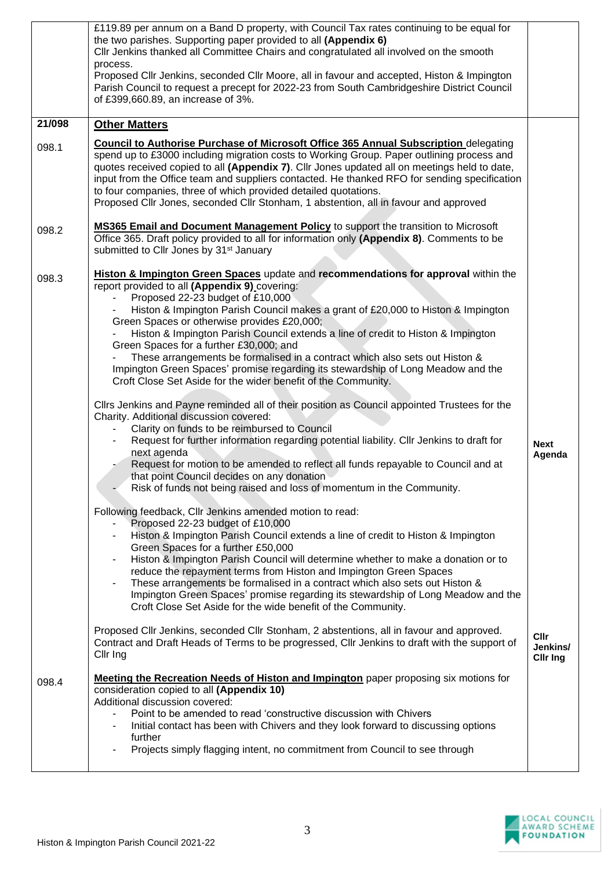|        | £119.89 per annum on a Band D property, with Council Tax rates continuing to be equal for<br>the two parishes. Supporting paper provided to all (Appendix 6)<br>Cllr Jenkins thanked all Committee Chairs and congratulated all involved on the smooth<br>process.                                                                                                                                                                                                                                                                                  |                                     |
|--------|-----------------------------------------------------------------------------------------------------------------------------------------------------------------------------------------------------------------------------------------------------------------------------------------------------------------------------------------------------------------------------------------------------------------------------------------------------------------------------------------------------------------------------------------------------|-------------------------------------|
|        | Proposed Cllr Jenkins, seconded Cllr Moore, all in favour and accepted, Histon & Impington<br>Parish Council to request a precept for 2022-23 from South Cambridgeshire District Council<br>of £399,660.89, an increase of 3%.                                                                                                                                                                                                                                                                                                                      |                                     |
| 21/098 | <b>Other Matters</b>                                                                                                                                                                                                                                                                                                                                                                                                                                                                                                                                |                                     |
| 098.1  | <b>Council to Authorise Purchase of Microsoft Office 365 Annual Subscription delegating</b><br>spend up to £3000 including migration costs to Working Group. Paper outlining process and<br>quotes received copied to all (Appendix 7). Cllr Jones updated all on meetings held to date,<br>input from the Office team and suppliers contacted. He thanked RFO for sending specification<br>to four companies, three of which provided detailed quotations.<br>Proposed Cllr Jones, seconded Cllr Stonham, 1 abstention, all in favour and approved |                                     |
| 098.2  | <b>MS365 Email and Document Management Policy</b> to support the transition to Microsoft<br>Office 365. Draft policy provided to all for information only (Appendix 8). Comments to be<br>submitted to Cllr Jones by 31 <sup>st</sup> January                                                                                                                                                                                                                                                                                                       |                                     |
| 098.3  | Histon & Impington Green Spaces update and recommendations for approval within the<br>report provided to all (Appendix 9) covering:<br>Proposed 22-23 budget of £10,000<br>Histon & Impington Parish Council makes a grant of £20,000 to Histon & Impington<br>Green Spaces or otherwise provides £20,000;                                                                                                                                                                                                                                          |                                     |
|        | Histon & Impington Parish Council extends a line of credit to Histon & Impington<br>Green Spaces for a further £30,000; and<br>These arrangements be formalised in a contract which also sets out Histon &                                                                                                                                                                                                                                                                                                                                          |                                     |
|        | Impington Green Spaces' promise regarding its stewardship of Long Meadow and the<br>Croft Close Set Aside for the wider benefit of the Community.<br>Cllrs Jenkins and Payne reminded all of their position as Council appointed Trustees for the                                                                                                                                                                                                                                                                                                   |                                     |
|        | Charity. Additional discussion covered:<br>Clarity on funds to be reimbursed to Council                                                                                                                                                                                                                                                                                                                                                                                                                                                             |                                     |
|        | Request for further information regarding potential liability. Cllr Jenkins to draft for<br>next agenda<br>Request for motion to be amended to reflect all funds repayable to Council and at                                                                                                                                                                                                                                                                                                                                                        | <b>Next</b><br>Agenda               |
|        | that point Council decides on any donation<br>Risk of funds not being raised and loss of momentum in the Community.                                                                                                                                                                                                                                                                                                                                                                                                                                 |                                     |
|        | Following feedback, Cllr Jenkins amended motion to read:<br>Proposed 22-23 budget of £10,000<br>Histon & Impington Parish Council extends a line of credit to Histon & Impington<br>$\qquad \qquad \blacksquare$                                                                                                                                                                                                                                                                                                                                    |                                     |
|        | Green Spaces for a further £50,000<br>Histon & Impington Parish Council will determine whether to make a donation or to<br>$\qquad \qquad \blacksquare$<br>reduce the repayment terms from Histon and Impington Green Spaces<br>These arrangements be formalised in a contract which also sets out Histon &<br>$\qquad \qquad \blacksquare$<br>Impington Green Spaces' promise regarding its stewardship of Long Meadow and the<br>Croft Close Set Aside for the wide benefit of the Community.                                                     |                                     |
|        | Proposed Cllr Jenkins, seconded Cllr Stonham, 2 abstentions, all in favour and approved.<br>Contract and Draft Heads of Terms to be progressed, Cllr Jenkins to draft with the support of<br>Cllr Ing                                                                                                                                                                                                                                                                                                                                               | Cllr<br>Jenkins/<br><b>Clir Ing</b> |
| 098.4  | <b>Meeting the Recreation Needs of Histon and Impington</b> paper proposing six motions for<br>consideration copied to all (Appendix 10)<br>Additional discussion covered:<br>Point to be amended to read 'constructive discussion with Chivers                                                                                                                                                                                                                                                                                                     |                                     |
|        | Initial contact has been with Chivers and they look forward to discussing options<br>further<br>Projects simply flagging intent, no commitment from Council to see through                                                                                                                                                                                                                                                                                                                                                                          |                                     |